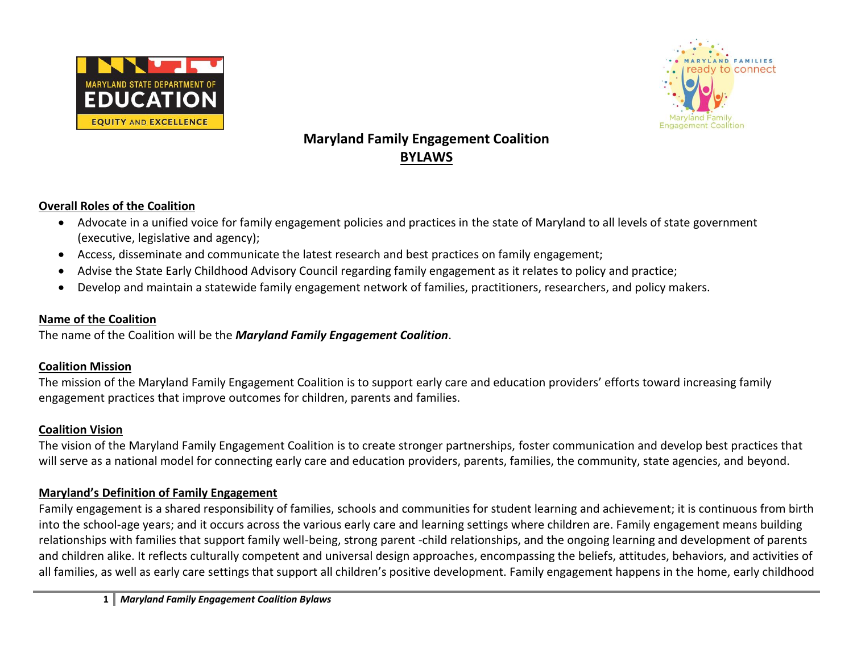



# **Maryland Family Engagement Coalition BYLAWS**

#### **Overall Roles of the Coalition**

- Advocate in a unified voice for family engagement policies and practices in the state of Maryland to all levels of state government (executive, legislative and agency);
- Access, disseminate and communicate the latest research and best practices on family engagement;
- Advise the State Early Childhood Advisory Council regarding family engagement as it relates to policy and practice;
- Develop and maintain a statewide family engagement network of families, practitioners, researchers, and policy makers.

#### **Name of the Coalition**

The name of the Coalition will be the *Maryland Family Engagement Coalition*.

# **Coalition Mission**

The mission of the Maryland Family Engagement Coalition is to support early care and education providers' efforts toward increasing family engagement practices that improve outcomes for children, parents and families.

# **Coalition Vision**

The vision of the Maryland Family Engagement Coalition is to create stronger partnerships, foster communication and develop best practices that will serve as a national model for connecting early care and education providers, parents, families, the community, state agencies, and beyond.

# **Maryland's Definition of Family Engagement**

Family engagement is a shared responsibility of families, schools and communities for student learning and achievement; it is continuous from birth into the school-age years; and it occurs across the various early care and learning settings where children are. Family engagement means building relationships with families that support family well-being, strong parent -child relationships, and the ongoing learning and development of parents and children alike. It reflects culturally competent and universal design approaches, encompassing the beliefs, attitudes, behaviors, and activities of all families, as well as early care settings that support all children's positive development. Family engagement happens in the home, early childhood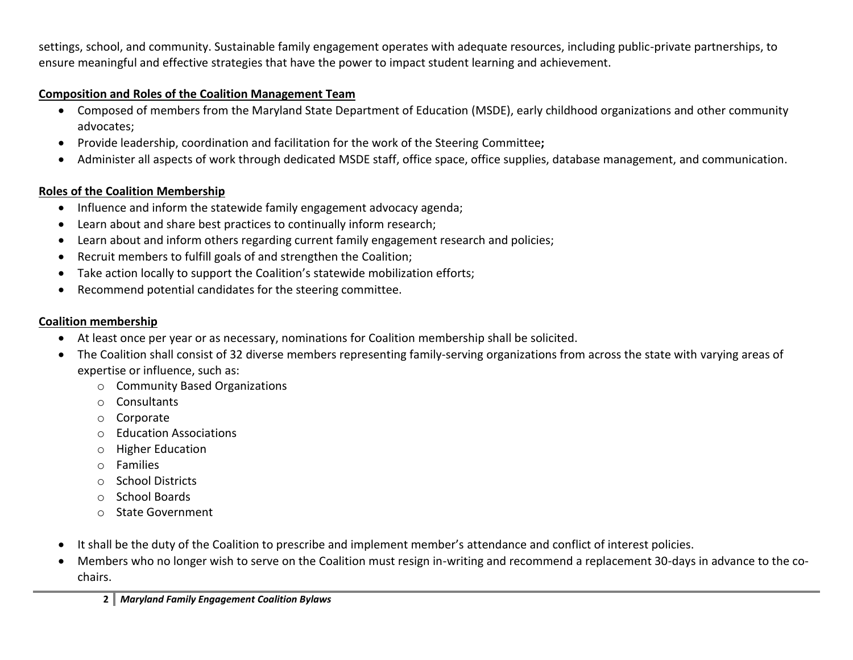settings, school, and community. Sustainable family engagement operates with adequate resources, including public-private partnerships, to ensure meaningful and effective strategies that have the power to impact student learning and achievement.

#### **Composition and Roles of the Coalition Management Team**

- Composed of members from the Maryland State Department of Education (MSDE), early childhood organizations and other community advocates;
- Provide leadership, coordination and facilitation for the work of the Steering Committee**;**
- Administer all aspects of work through dedicated MSDE staff, office space, office supplies, database management, and communication.

# **Roles of the Coalition Membership**

- Influence and inform the statewide family engagement advocacy agenda;
- Learn about and share best practices to continually inform research;
- Learn about and inform others regarding current family engagement research and policies;
- Recruit members to fulfill goals of and strengthen the Coalition;
- Take action locally to support the Coalition's statewide mobilization efforts;
- Recommend potential candidates for the steering committee.

# **Coalition membership**

- At least once per year or as necessary, nominations for Coalition membership shall be solicited.
- The Coalition shall consist of 32 diverse members representing family-serving organizations from across the state with varying areas of expertise or influence, such as:
	- o Community Based Organizations
	- o Consultants
	- o Corporate
	- o Education Associations
	- o Higher Education
	- o Families
	- o School Districts
	- o School Boards
	- o State Government
- It shall be the duty of the Coalition to prescribe and implement member's attendance and conflict of interest policies.
- Members who no longer wish to serve on the Coalition must resign in-writing and recommend a replacement 30-days in advance to the cochairs.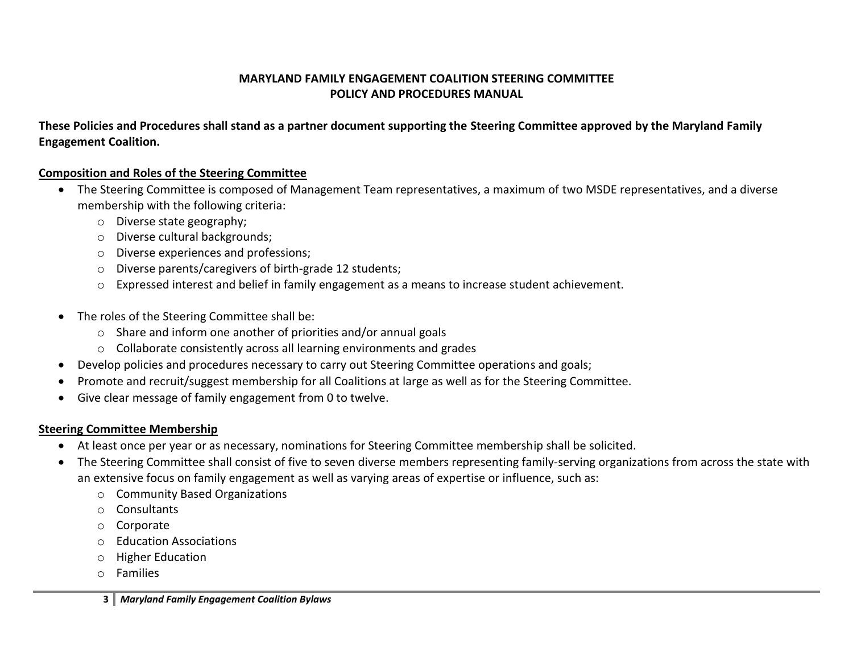# **MARYLAND FAMILY ENGAGEMENT COALITION STEERING COMMITTEE POLICY AND PROCEDURES MANUAL**

**These Policies and Procedures shall stand as a partner document supporting the Steering Committee approved by the Maryland Family Engagement Coalition.**

#### **Composition and Roles of the Steering Committee**

- The Steering Committee is composed of Management Team representatives, a maximum of two MSDE representatives, and a diverse membership with the following criteria:
	- o Diverse state geography;
	- o Diverse cultural backgrounds;
	- o Diverse experiences and professions;
	- o Diverse parents/caregivers of birth-grade 12 students;
	- o Expressed interest and belief in family engagement as a means to increase student achievement.
- The roles of the Steering Committee shall be:
	- o Share and inform one another of priorities and/or annual goals
	- o Collaborate consistently across all learning environments and grades
- Develop policies and procedures necessary to carry out Steering Committee operations and goals;
- Promote and recruit/suggest membership for all Coalitions at large as well as for the Steering Committee.
- Give clear message of family engagement from 0 to twelve.

# **Steering Committee Membership**

- At least once per year or as necessary, nominations for Steering Committee membership shall be solicited.
- The Steering Committee shall consist of five to seven diverse members representing family-serving organizations from across the state with an extensive focus on family engagement as well as varying areas of expertise or influence, such as:
	- o Community Based Organizations
	- o Consultants
	- o Corporate
	- o Education Associations
	- o Higher Education
	- o Families